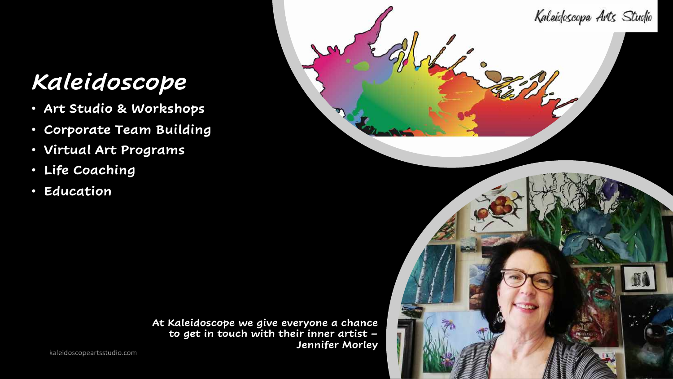## *Kaleidoscope*

- **Art Studio & Workshops**
- **Corporate Team Building**
- **Virtual Art Programs**
- **Life Coaching**
- **Education**

**Jennifer Morley** 

Kaleidoscope Arts Studio

**At Kaleidoscope we give everyone a chance to get in touch with their inner artist –**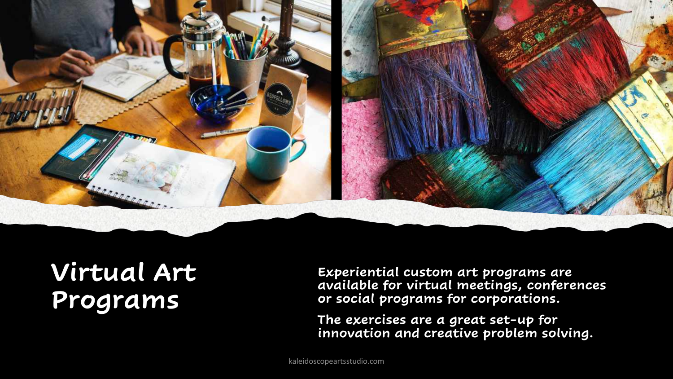

## **Virtual Art Programs**

**Experiential custom art programs are available for virtual meetings, conferences or social programs for corporations.** 

**The exercises are a great set-up for innovation and creative problem solving.**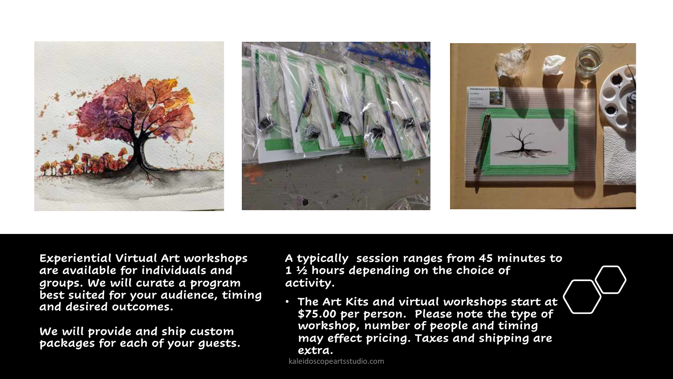

**Experiential Virtual Art workshops are available for individuals and groups. We will curate a program best suited for your audience, timing and desired outcomes.** 

**We will provide and ship custom packages for each of your guests.**  **A typically session ranges from 45 minutes to 1 ½ hours depending on the choice of activity.**

• **The Art Kits and virtual workshops start at \$75.00 per person. Please note the type of workshop, number of people and timing may effect pricing. Taxes and shipping are extra.**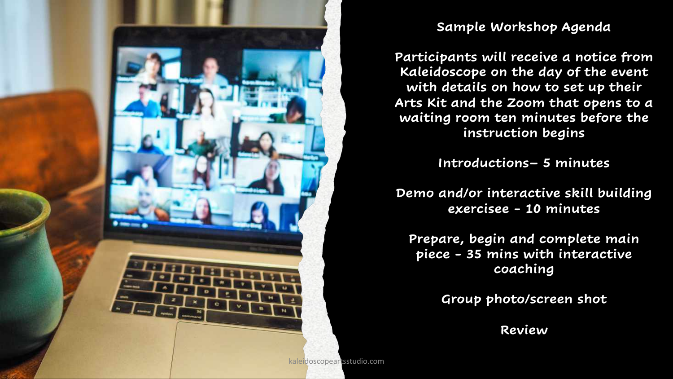

## **Sample Workshop Agenda**

**Participants will receive a notice from Kaleidoscope on the day of the event with details on how to set up their Arts Kit and the Zoom that opens to a waiting room ten minutes before the instruction begins**

**Introductions– 5 minutes**

**Demo and/or interactive skill building exercisee - 10 minutes** 

**Prepare, begin and complete main piece - 35 mins with interactive coaching** 

**Group photo/screen shot** 

**Review**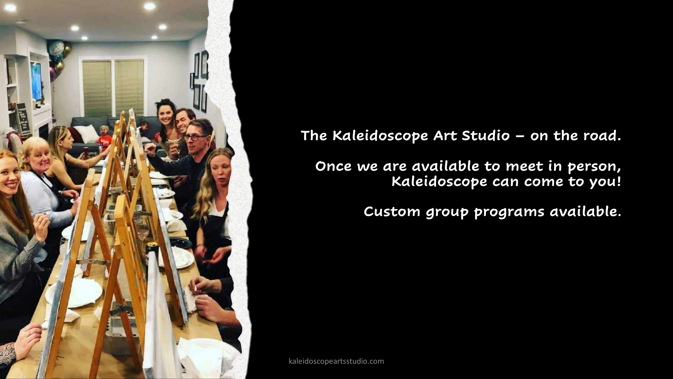

**The Kaleidoscope Art Studio – on the road.** 

**Once we are available to meet in person, Kaleidoscope can come to you!** 

**Custom group programs available.**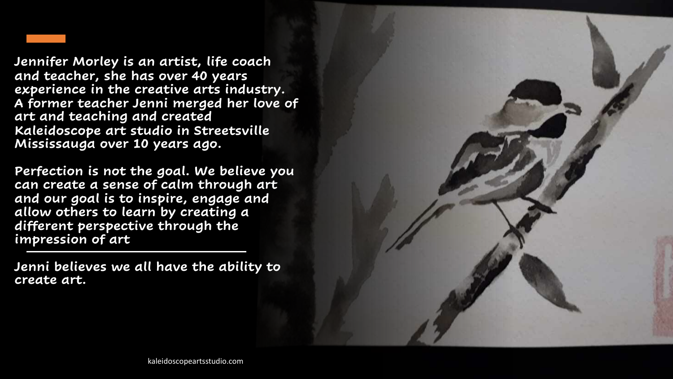**Jennifer Morley is an artist, life coach and teacher, she has over 40 years experience in the creative arts industry. A former teacher Jenni merged her love of art and teaching and created Kaleidoscope art studio in Streetsville Mississauga over 10 years ago.** 

**Perfection is not the goal. We believe you can create a sense of calm through art and our goal is to inspire, engage and allow others to learn by creating a different perspective through the impression of art**

**Jenni believes we all have the ability to create art.**